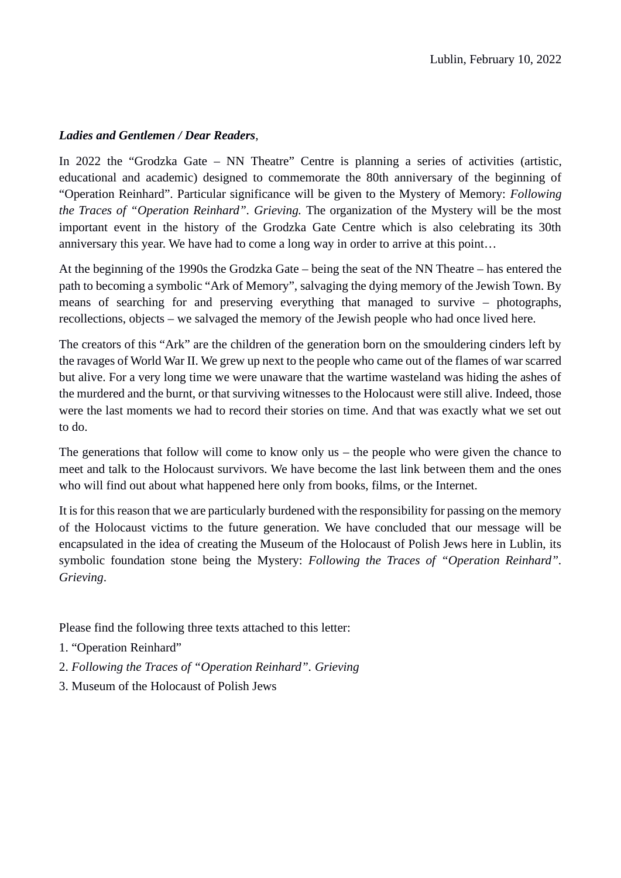#### *Ladies and Gentlemen / Dear Readers*,

In 2022 the "Grodzka Gate – NN Theatre" Centre is planning a series of activities (artistic, educational and academic) designed to commemorate the 80th anniversary of the beginning of "Operation Reinhard". Particular significance will be given to the Mystery of Memory: *Following the Traces of "Operation Reinhard". Grieving.* The organization of the Mystery will be the most important event in the history of the Grodzka Gate Centre which is also celebrating its 30th anniversary this year. We have had to come a long way in order to arrive at this point…

At the beginning of the 1990s the Grodzka Gate – being the seat of the NN Theatre – has entered the path to becoming a symbolic "Ark of Memory", salvaging the dying memory of the Jewish Town. By means of searching for and preserving everything that managed to survive – photographs, recollections, objects – we salvaged the memory of the Jewish people who had once lived here.

The creators of this "Ark" are the children of the generation born on the smouldering cinders left by the ravages of World War II. We grew up next to the people who came out of the flames of war scarred but alive. For a very long time we were unaware that the wartime wasteland was hiding the ashes of the murdered and the burnt, or that surviving witnesses to the Holocaust were still alive. Indeed, those were the last moments we had to record their stories on time. And that was exactly what we set out to do.

The generations that follow will come to know only us – the people who were given the chance to meet and talk to the Holocaust survivors. We have become the last link between them and the ones who will find out about what happened here only from books, films, or the Internet.

It is for this reason that we are particularly burdened with the responsibility for passing on the memory of the Holocaust victims to the future generation. We have concluded that our message will be encapsulated in the idea of creating the Museum of the Holocaust of Polish Jews here in Lublin, its symbolic foundation stone being the Mystery: *Following the Traces of "Operation Reinhard". Grieving*.

Please find the following three texts attached to this letter:

- 1. "Operation Reinhard"
- 2. *Following the Traces of "Operation Reinhard". Grieving*
- 3. Museum of the Holocaust of Polish Jews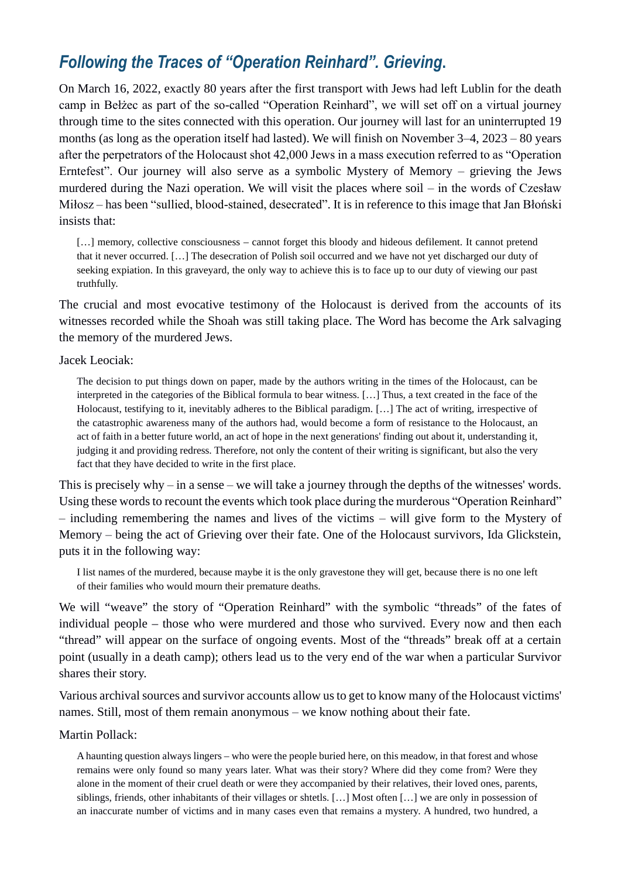## *Following the Traces of "Operation Reinhard". Grieving***.**

On March 16, 2022, exactly 80 years after the first transport with Jews had left Lublin for the death camp in Bełżec as part of the so-called "Operation Reinhard", we will set off on a virtual journey through time to the sites connected with this operation. Our journey will last for an uninterrupted 19 months (as long as the operation itself had lasted). We will finish on November 3–4, 2023 – 80 years after the perpetrators of the Holocaust shot 42,000 Jews in a mass execution referred to as "Operation Erntefest". Our journey will also serve as a symbolic Mystery of Memory – grieving the Jews murdered during the Nazi operation. We will visit the places where soil – in the words of Czesław Miłosz – has been "sullied, blood-stained, desecrated". It is in reference to this image that Jan Błoński insists that:

[...] memory, collective consciousness – cannot forget this bloody and hideous defilement. It cannot pretend that it never occurred. […] The desecration of Polish soil occurred and we have not yet discharged our duty of seeking expiation. In this graveyard, the only way to achieve this is to face up to our duty of viewing our past truthfully.

The crucial and most evocative testimony of the Holocaust is derived from the accounts of its witnesses recorded while the Shoah was still taking place. The Word has become the Ark salvaging the memory of the murdered Jews.

#### Jacek Leociak:

The decision to put things down on paper, made by the authors writing in the times of the Holocaust, can be interpreted in the categories of the Biblical formula to bear witness. […] Thus, a text created in the face of the Holocaust, testifying to it, inevitably adheres to the Biblical paradigm. […] The act of writing, irrespective of the catastrophic awareness many of the authors had, would become a form of resistance to the Holocaust, an act of faith in a better future world, an act of hope in the next generations' finding out about it, understanding it, judging it and providing redress. Therefore, not only the content of their writing is significant, but also the very fact that they have decided to write in the first place.

This is precisely why – in a sense – we will take a journey through the depths of the witnesses' words. Using these words to recount the events which took place during the murderous "Operation Reinhard" – including remembering the names and lives of the victims – will give form to the Mystery of Memory – being the act of Grieving over their fate. One of the Holocaust survivors, Ida Glickstein, puts it in the following way:

I list names of the murdered, because maybe it is the only gravestone they will get, because there is no one left of their families who would mourn their premature deaths.

We will "weave" the story of "Operation Reinhard" with the symbolic "threads" of the fates of individual people – those who were murdered and those who survived. Every now and then each "thread" will appear on the surface of ongoing events. Most of the "threads" break off at a certain point (usually in a death camp); others lead us to the very end of the war when a particular Survivor shares their story.

Various archival sources and survivor accounts allow us to get to know many of the Holocaust victims' names. Still, most of them remain anonymous – we know nothing about their fate.

#### Martin Pollack:

A haunting question always lingers – who were the people buried here, on this meadow, in that forest and whose remains were only found so many years later. What was their story? Where did they come from? Were they alone in the moment of their cruel death or were they accompanied by their relatives, their loved ones, parents, siblings, friends, other inhabitants of their villages or shtetls. […] Most often […] we are only in possession of an inaccurate number of victims and in many cases even that remains a mystery. A hundred, two hundred, a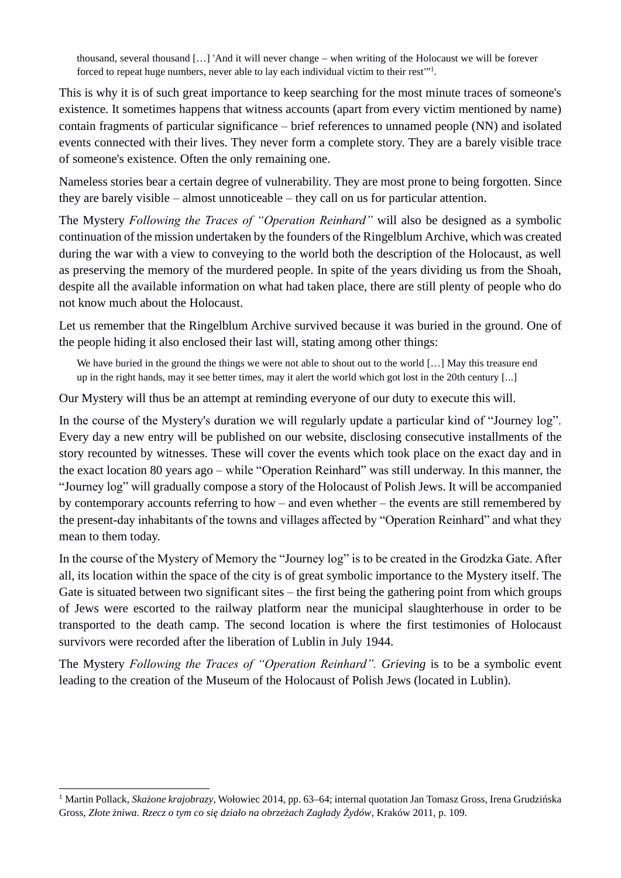thousand, several thousand […] 'And it will never change – when writing of the Holocaust we will be forever forced to repeat huge numbers, never able to lay each individual victim to their rest"<sup>1</sup>.

This is why it is of such great importance to keep searching for the most minute traces of someone's existence. It sometimes happens that witness accounts (apart from every victim mentioned by name) contain fragments of particular significance – brief references to unnamed people (NN) and isolated events connected with their lives. They never form a complete story. They are a barely visible trace of someone's existence. Often the only remaining one.

Nameless stories bear a certain degree of vulnerability. They are most prone to being forgotten. Since they are barely visible – almost unnoticeable – they call on us for particular attention.

The Mystery *Following the Traces of "Operation Reinhard"* will also be designed as a symbolic continuation of the mission undertaken by the founders of the Ringelblum Archive, which was created during the war with a view to conveying to the world both the description of the Holocaust, as well as preserving the memory of the murdered people. In spite of the years dividing us from the Shoah, despite all the available information on what had taken place, there are still plenty of people who do not know much about the Holocaust.

Let us remember that the Ringelblum Archive survived because it was buried in the ground. One of the people hiding it also enclosed their last will, stating among other things:

We have buried in the ground the things we were not able to shout out to the world [...] May this treasure end up in the right hands, may it see better times, may it alert the world which got lost in the 20th century [...]

Our Mystery will thus be an attempt at reminding everyone of our duty to execute this will.

In the course of the Mystery's duration we will regularly update a particular kind of "Journey log". Every day a new entry will be published on our website, disclosing consecutive installments of the story recounted by witnesses. These will cover the events which took place on the exact day and in the exact location 80 years ago – while "Operation Reinhard" was still underway. In this manner, the "Journey log" will gradually compose a story of the Holocaust of Polish Jews. It will be accompanied by contemporary accounts referring to how – and even whether – the events are still remembered by the present-day inhabitants of the towns and villages affected by "Operation Reinhard" and what they mean to them today.

In the course of the Mystery of Memory the "Journey log" is to be created in the Grodzka Gate. After all, its location within the space of the city is of great symbolic importance to the Mystery itself. The Gate is situated between two significant sites – the first being the gathering point from which groups of Jews were escorted to the railway platform near the municipal slaughterhouse in order to be transported to the death camp. The second location is where the first testimonies of Holocaust survivors were recorded after the liberation of Lublin in July 1944.

The Mystery *Following the Traces of "Operation Reinhard". Grieving* is to be a symbolic event leading to the creation of the Museum of the Holocaust of Polish Jews (located in Lublin).

<sup>1</sup> Martin Pollack, *Skażone krajobrazy*, Wołowiec 2014, pp. 63–64; internal quotation Jan Tomasz Gross, Irena Grudzińska Gross, *Złote żniwa. Rzecz o tym co się działo na obrzeżach Zagłady Żydów*, Kraków 2011, p. 109.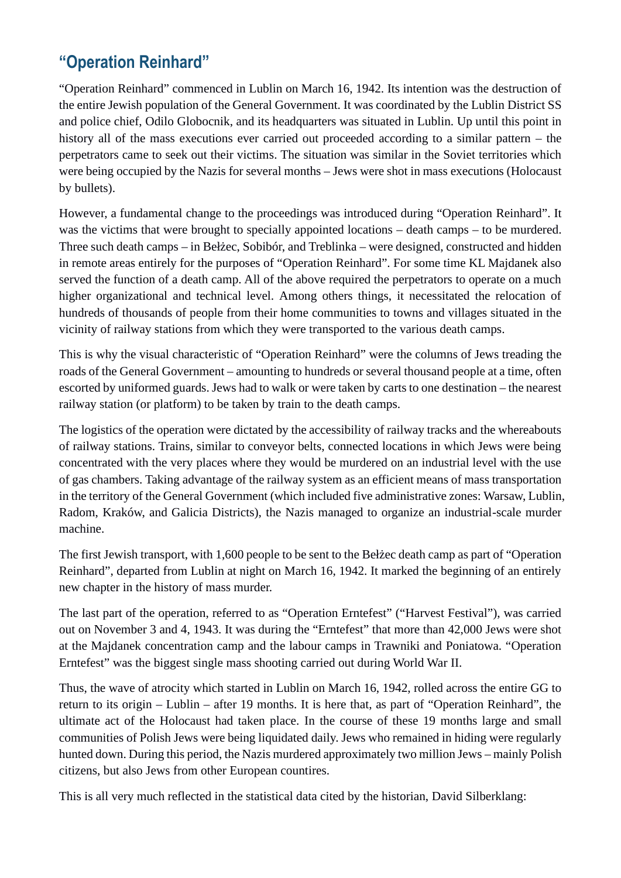# **"Operation Reinhard"**

"Operation Reinhard" commenced in Lublin on March 16, 1942. Its intention was the destruction of the entire Jewish population of the General Government. It was coordinated by the Lublin District SS and police chief, Odilo Globocnik, and its headquarters was situated in Lublin. Up until this point in history all of the mass executions ever carried out proceeded according to a similar pattern – the perpetrators came to seek out their victims. The situation was similar in the Soviet territories which were being occupied by the Nazis for several months – Jews were shot in mass executions (Holocaust by bullets).

However, a fundamental change to the proceedings was introduced during "Operation Reinhard". It was the victims that were brought to specially appointed locations – death camps – to be murdered. Three such death camps – in Bełżec, Sobibór, and Treblinka – were designed, constructed and hidden in remote areas entirely for the purposes of "Operation Reinhard". For some time KL Majdanek also served the function of a death camp. All of the above required the perpetrators to operate on a much higher organizational and technical level. Among others things, it necessitated the relocation of hundreds of thousands of people from their home communities to towns and villages situated in the vicinity of railway stations from which they were transported to the various death camps.

This is why the visual characteristic of "Operation Reinhard" were the columns of Jews treading the roads of the General Government – amounting to hundreds or several thousand people at a time, often escorted by uniformed guards. Jews had to walk or were taken by carts to one destination – the nearest railway station (or platform) to be taken by train to the death camps.

The logistics of the operation were dictated by the accessibility of railway tracks and the whereabouts of railway stations. Trains, similar to conveyor belts, connected locations in which Jews were being concentrated with the very places where they would be murdered on an industrial level with the use of gas chambers. Taking advantage of the railway system as an efficient means of mass transportation in the territory of the General Government (which included five administrative zones: Warsaw, Lublin, Radom, Kraków, and Galicia Districts), the Nazis managed to organize an industrial-scale murder machine.

The first Jewish transport, with 1,600 people to be sent to the Bełżec death camp as part of "Operation Reinhard", departed from Lublin at night on March 16, 1942. It marked the beginning of an entirely new chapter in the history of mass murder.

The last part of the operation, referred to as "Operation Erntefest" ("Harvest Festival"), was carried out on November 3 and 4, 1943. It was during the "Erntefest" that more than 42,000 Jews were shot at the Majdanek concentration camp and the labour camps in Trawniki and Poniatowa. "Operation Erntefest" was the biggest single mass shooting carried out during World War II.

Thus, the wave of atrocity which started in Lublin on March 16, 1942, rolled across the entire GG to return to its origin – Lublin – after 19 months. It is here that, as part of "Operation Reinhard", the ultimate act of the Holocaust had taken place. In the course of these 19 months large and small communities of Polish Jews were being liquidated daily. Jews who remained in hiding were regularly hunted down. During this period, the Nazis murdered approximately two million Jews – mainly Polish citizens, but also Jews from other European countires.

This is all very much reflected in the statistical data cited by the historian, David Silberklang: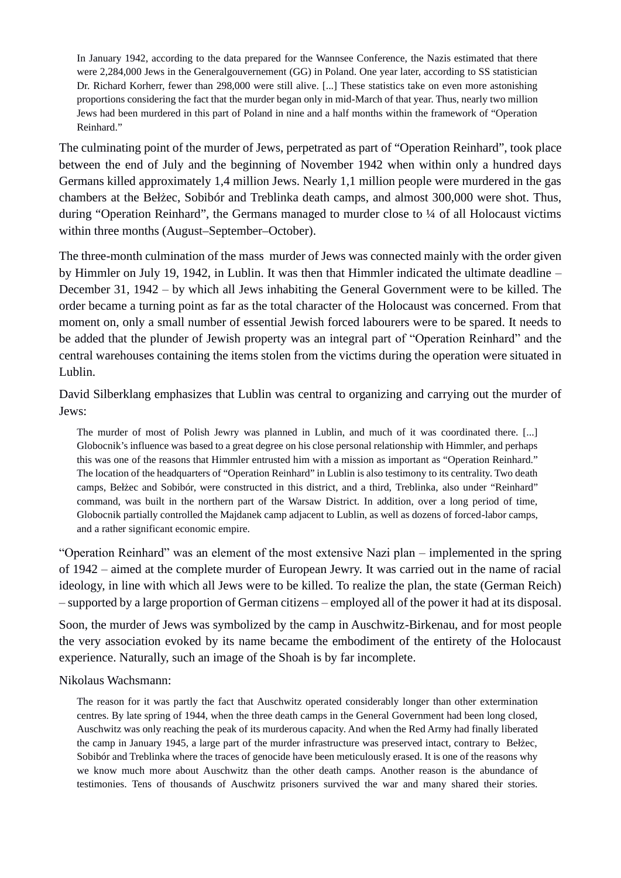In January 1942, according to the data prepared for the Wannsee Conference, the Nazis estimated that there were 2,284,000 Jews in the Generalgouvernement (GG) in Poland. One year later, according to SS statistician Dr. Richard Korherr, fewer than 298,000 were still alive. [...] These statistics take on even more astonishing proportions considering the fact that the murder began only in mid-March of that year. Thus, nearly two million Jews had been murdered in this part of Poland in nine and a half months within the framework of "Operation Reinhard."

The culminating point of the murder of Jews, perpetrated as part of "Operation Reinhard", took place between the end of July and the beginning of November 1942 when within only a hundred days Germans killed approximately 1,4 million Jews. Nearly 1,1 million people were murdered in the gas chambers at the Bełżec, Sobibór and Treblinka death camps, and almost 300,000 were shot. Thus, during "Operation Reinhard", the Germans managed to murder close to ¼ of all Holocaust victims within three months (August–September–October).

The three-month culmination of the mass murder of Jews was connected mainly with the order given by Himmler on July 19, 1942, in Lublin. It was then that Himmler indicated the ultimate deadline – December 31, 1942 – by which all Jews inhabiting the General Government were to be killed. The order became a turning point as far as the total character of the Holocaust was concerned. From that moment on, only a small number of essential Jewish forced labourers were to be spared. It needs to be added that the plunder of Jewish property was an integral part of "Operation Reinhard" and the central warehouses containing the items stolen from the victims during the operation were situated in Lublin.

David Silberklang emphasizes that Lublin was central to organizing and carrying out the murder of Jews:

The murder of most of Polish Jewry was planned in Lublin, and much of it was coordinated there. [...] Globocnik's influence was based to a great degree on his close personal relationship with Himmler, and perhaps this was one of the reasons that Himmler entrusted him with a mission as important as "Operation Reinhard." The location of the headquarters of "Operation Reinhard" in Lublin is also testimony to its centrality. Two death camps, Bełżec and Sobibór, were constructed in this district, and a third, Treblinka, also under "Reinhard" command, was built in the northern part of the Warsaw District. In addition, over a long period of time, Globocnik partially controlled the Majdanek camp adjacent to Lublin, as well as dozens of forced-labor camps, and a rather significant economic empire.

"Operation Reinhard" was an element of the most extensive Nazi plan – implemented in the spring of 1942 – aimed at the complete murder of European Jewry. It was carried out in the name of racial ideology, in line with which all Jews were to be killed. To realize the plan, the state (German Reich) – supported by a large proportion of German citizens – employed all of the power it had at its disposal.

Soon, the murder of Jews was symbolized by the camp in Auschwitz-Birkenau, and for most people the very association evoked by its name became the embodiment of the entirety of the Holocaust experience. Naturally, such an image of the Shoah is by far incomplete.

Nikolaus Wachsmann:

The reason for it was partly the fact that Auschwitz operated considerably longer than other extermination centres. By late spring of 1944, when the three death camps in the General Government had been long closed, Auschwitz was only reaching the peak of its murderous capacity. And when the Red Army had finally liberated the camp in January 1945, a large part of the murder infrastructure was preserved intact, contrary to Bełżec, Sobibór and Treblinka where the traces of genocide have been meticulously erased. It is one of the reasons why we know much more about Auschwitz than the other death camps. Another reason is the abundance of testimonies. Tens of thousands of Auschwitz prisoners survived the war and many shared their stories.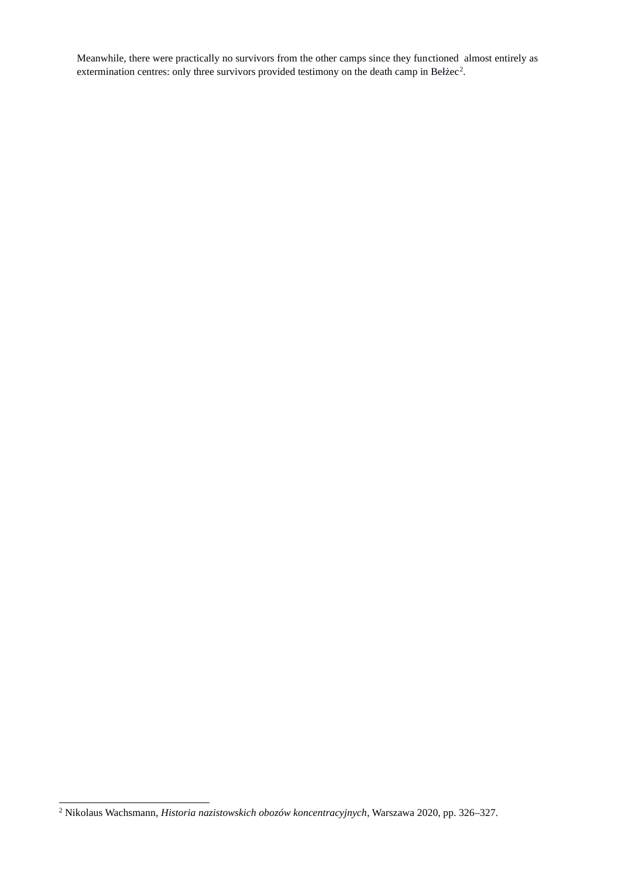Meanwhile, there were practically no survivors from the other camps since they functioned almost entirely as extermination centres: only three survivors provided testimony on the death camp in Bełżec<sup>2</sup>.

<sup>2</sup> Nikolaus Wachsmann, *Historia nazistowskich obozów koncentracyjnych*, Warszawa 2020, pp. 326–327.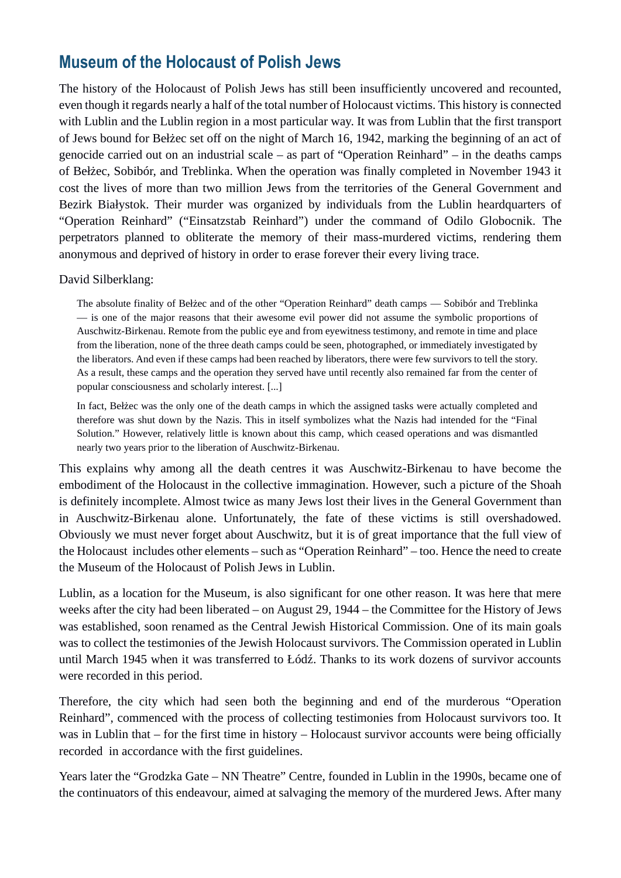### **Museum of the Holocaust of Polish Jews**

The history of the Holocaust of Polish Jews has still been insufficiently uncovered and recounted, even though it regards nearly a half of the total number of Holocaust victims. This history is connected with Lublin and the Lublin region in a most particular way. It was from Lublin that the first transport of Jews bound for Bełżec set off on the night of March 16, 1942, marking the beginning of an act of genocide carried out on an industrial scale – as part of "Operation Reinhard" – in the deaths camps of Bełżec, Sobibór, and Treblinka. When the operation was finally completed in November 1943 it cost the lives of more than two million Jews from the territories of the General Government and Bezirk Białystok. Their murder was organized by individuals from the Lublin heardquarters of "Operation Reinhard" ("Einsatzstab Reinhard") under the command of Odilo Globocnik. The perpetrators planned to obliterate the memory of their mass-murdered victims, rendering them anonymous and deprived of history in order to erase forever their every living trace.

David Silberklang:

The absolute finality of Bełżec and of the other "Operation Reinhard" death camps — Sobibór and Treblinka — is one of the major reasons that their awesome evil power did not assume the symbolic proportions of Auschwitz-Birkenau. Remote from the public eye and from eyewitness testimony, and remote in time and place from the liberation, none of the three death camps could be seen, photographed, or immediately investigated by the liberators. And even if these camps had been reached by liberators, there were few survivors to tell the story. As a result, these camps and the operation they served have until recently also remained far from the center of popular consciousness and scholarly interest. [...]

In fact, Bełżec was the only one of the death camps in which the assigned tasks were actually completed and therefore was shut down by the Nazis. This in itself symbolizes what the Nazis had intended for the "Final Solution." However, relatively little is known about this camp, which ceased operations and was dismantled nearly two years prior to the liberation of Auschwitz-Birkenau.

This explains why among all the death centres it was Auschwitz-Birkenau to have become the embodiment of the Holocaust in the collective immagination. However, such a picture of the Shoah is definitely incomplete. Almost twice as many Jews lost their lives in the General Government than in Auschwitz-Birkenau alone. Unfortunately, the fate of these victims is still overshadowed. Obviously we must never forget about Auschwitz, but it is of great importance that the full view of the Holocaust includes other elements – such as "Operation Reinhard" – too. Hence the need to create the Museum of the Holocaust of Polish Jews in Lublin.

Lublin, as a location for the Museum, is also significant for one other reason. It was here that mere weeks after the city had been liberated – on August 29, 1944 – the Committee for the History of Jews was established, soon renamed as the Central Jewish Historical Commission. One of its main goals was to collect the testimonies of the Jewish Holocaust survivors. The Commission operated in Lublin until March 1945 when it was transferred to Łódź. Thanks to its work dozens of survivor accounts were recorded in this period.

Therefore, the city which had seen both the beginning and end of the murderous "Operation Reinhard", commenced with the process of collecting testimonies from Holocaust survivors too. It was in Lublin that – for the first time in history – Holocaust survivor accounts were being officially recorded in accordance with the first guidelines.

Years later the "Grodzka Gate – NN Theatre" Centre, founded in Lublin in the 1990s, became one of the continuators of this endeavour, aimed at salvaging the memory of the murdered Jews. After many